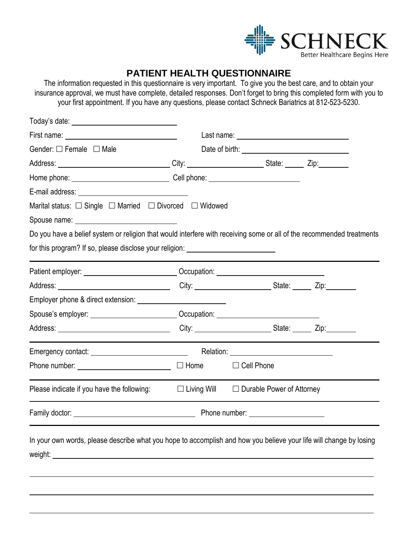

# **PATIENT HEALTH QUESTIONNAIRE**

The information requested in this questionnaire is very important. To give you the best care, and to obtain your insurance approval, we must have complete, detailed responses. Don't forget to bring this completed form with you to your first appointment. If you have any questions, please contact Schneck Bariatrics at 812-523-5230.

| Gender: $\Box$ Female $\Box$ Male                                                                                     | Date of birth: <u>with and the set of the set of the set of the set of the set of the set of the set of the set of the set of the set of the set of the set of the set of the set of the set of the set of the set of the set of</u> |  |
|-----------------------------------------------------------------------------------------------------------------------|--------------------------------------------------------------------------------------------------------------------------------------------------------------------------------------------------------------------------------------|--|
| Address: _______________________________City: _______________________State: _______Zip: ___________                   |                                                                                                                                                                                                                                      |  |
| Home phone: _________________________________Cell phone: _______________________                                      |                                                                                                                                                                                                                                      |  |
|                                                                                                                       |                                                                                                                                                                                                                                      |  |
| Marital status: □ Single □ Married □ Divorced □ Widowed                                                               |                                                                                                                                                                                                                                      |  |
|                                                                                                                       |                                                                                                                                                                                                                                      |  |
| Do you have a belief system or religion that would interfere with receiving some or all of the recommended treatments |                                                                                                                                                                                                                                      |  |
| for this program? If so, please disclose your religion: ________________________                                      |                                                                                                                                                                                                                                      |  |
| Patient employer: _______________________________Occupation: ___________________                                      |                                                                                                                                                                                                                                      |  |
|                                                                                                                       |                                                                                                                                                                                                                                      |  |
|                                                                                                                       |                                                                                                                                                                                                                                      |  |
| Spouse's employer: ___________________________Occupation: ______________________                                      |                                                                                                                                                                                                                                      |  |
|                                                                                                                       |                                                                                                                                                                                                                                      |  |
|                                                                                                                       |                                                                                                                                                                                                                                      |  |
| Phone number: $\Box$ Home                                                                                             | $\Box$ Cell Phone                                                                                                                                                                                                                    |  |
| Please indicate if you have the following:                                                                            | $\Box$ Living Will $\Box$ Durable Power of Attorney                                                                                                                                                                                  |  |
|                                                                                                                       |                                                                                                                                                                                                                                      |  |
| In your own words, please describe what you hope to accomplish and how you believe your life will change by losing    |                                                                                                                                                                                                                                      |  |
|                                                                                                                       |                                                                                                                                                                                                                                      |  |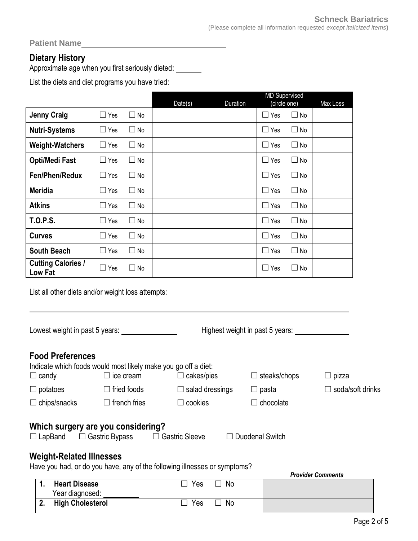**Patient Name** 

## **Dietary History**

Approximate age when you first seriously dieted:

List the diets and diet programs you have tried:

|                                                                                                               |            |                     |                        |          | <b>MD Supervised</b>            |           |                         |
|---------------------------------------------------------------------------------------------------------------|------------|---------------------|------------------------|----------|---------------------------------|-----------|-------------------------|
|                                                                                                               |            |                     | Date(s)                | Duration | (circle one)                    |           | Max Loss                |
| <b>Jenny Craig</b>                                                                                            | $\Box$ Yes | $\Box$ No           |                        |          | $\Box$ Yes                      | $\Box$ No |                         |
| <b>Nutri-Systems</b>                                                                                          | $\Box$ Yes | $\Box$ No           |                        |          | $\Box$ Yes                      | $\Box$ No |                         |
| <b>Weight-Watchers</b>                                                                                        | $\Box$ Yes | $\Box$ No           |                        |          | $\Box$ Yes                      | $\Box$ No |                         |
| <b>Opti/Medi Fast</b>                                                                                         | $\Box$ Yes | $\Box$ No           |                        |          | $\Box$ Yes                      | $\Box$ No |                         |
| Fen/Phen/Redux                                                                                                | $\Box$ Yes | $\Box$ No           |                        |          | $\Box$ Yes                      | $\Box$ No |                         |
| <b>Meridia</b>                                                                                                | $\Box$ Yes | $\Box$ No           |                        |          | $\Box$ Yes                      | $\Box$ No |                         |
| <b>Atkins</b>                                                                                                 | $\Box$ Yes | $\Box$ No           |                        |          | $\Box$ Yes                      | $\Box$ No |                         |
| <b>T.O.P.S.</b>                                                                                               | $\Box$ Yes | $\Box$ No           |                        |          | $\Box$ Yes                      | $\Box$ No |                         |
| <b>Curves</b>                                                                                                 | $\Box$ Yes | $\Box$ No           |                        |          | $\Box$ Yes                      | $\Box$ No |                         |
| <b>South Beach</b>                                                                                            | $\Box$ Yes | $\Box$ No           |                        |          | $\Box$ Yes                      | $\Box$ No |                         |
| <b>Cutting Calories /</b><br>Low Fat                                                                          | $\Box$ Yes | $\Box$ No           |                        |          | $\Box$ Yes                      | $\Box$ No |                         |
| List all other diets and/or weight loss attempts:                                                             |            |                     |                        |          | Highest weight in past 5 years: |           |                         |
| <b>Food Preferences</b><br>Indicate which foods would most likely make you go off a diet:<br>$\Box$ candy     |            | $\Box$ ice cream    | $\Box$ cakes/pies      |          | $\Box$ steaks/chops             |           | $\Box$ pizza            |
| $\Box$ potatoes                                                                                               |            | $\Box$ fried foods  | $\Box$ salad dressings |          | $\Box$ pasta                    |           | $\Box$ soda/soft drinks |
| $\Box$ chips/snacks                                                                                           |            | $\Box$ french fries | $\Box$ cookies         |          | $\Box$ chocolate                |           |                         |
| Which surgery are you considering?<br>$\Box$ LapBand $\Box$ Gastric Bypass<br><b>Weight-Related Illnesses</b> |            |                     | $\Box$ Gastric Sleeve  |          | $\Box$ Duodenal Switch          |           |                         |

Have you had, or do you have, any of the following illnesses or symptoms?

|                         |     |    | <b>Provider Comments</b> |
|-------------------------|-----|----|--------------------------|
| <b>Heart Disease</b>    | Yes | No |                          |
| Year diagnosed:         |     |    |                          |
| <b>High Cholesterol</b> | Yes | No |                          |
|                         |     |    |                          |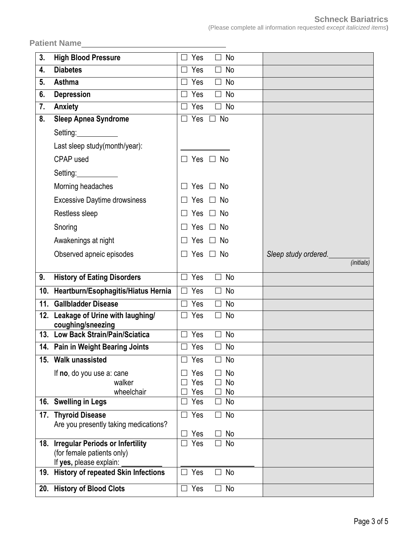Patient Name**<sup>2</sup>** 

| 3.  | <b>High Blood Pressure</b>                                   | Yes<br>No<br>П<br>$\Box$              |                      |
|-----|--------------------------------------------------------------|---------------------------------------|----------------------|
| 4.  | <b>Diabetes</b>                                              | Yes<br>No<br>$\Box$<br>$\Box$         |                      |
| 5.  | Asthma                                                       | Yes<br>No<br>$\Box$<br>$\Box$         |                      |
| 6.  | <b>Depression</b>                                            | No<br>Yes<br>$\Box$<br>$\Box$         |                      |
| 7.  | <b>Anxiety</b>                                               | Yes<br>No<br>$\Box$<br>ΙI             |                      |
| 8.  | <b>Sleep Apnea Syndrome</b>                                  | <b>No</b><br>Yes<br>$\mathsf{L}$      |                      |
|     | Setting:                                                     |                                       |                      |
|     | Last sleep study(month/year):                                |                                       |                      |
|     | CPAP used                                                    | $\Box$ Yes $\Box$ No                  |                      |
|     | Setting:                                                     |                                       |                      |
|     | Morning headaches                                            | <b>Yes</b><br>No<br>$\Box$            |                      |
|     | <b>Excessive Daytime drowsiness</b>                          | No<br>Yes                             |                      |
|     | Restless sleep                                               | No<br>Yes                             |                      |
|     | Snoring                                                      | Yes<br>No<br>$\perp$                  |                      |
|     | Awakenings at night                                          | <b>No</b><br>Yes                      |                      |
|     | Observed apneic episodes                                     | Yes<br>No<br>$\Box$<br>$\perp$        | Sleep study ordered. |
|     |                                                              |                                       | (initials)           |
| 9.  | <b>History of Eating Disorders</b>                           | No<br>Yes<br>П<br>П                   |                      |
|     |                                                              |                                       |                      |
| 10. | Heartburn/Esophagitis/Hiatus Hernia                          | No<br>Yes<br>$\Box$<br>$\Box$         |                      |
| 11. | <b>Gallbladder Disease</b>                                   | Yes<br>No<br>$\Box$<br>П              |                      |
| 12. | Leakage of Urine with laughing/                              | Yes<br>No<br>$\Box$<br>$\mathsf{L}$   |                      |
|     | coughing/sneezing<br>13. Low Back Strain/Pain/Sciatica       | Yes<br>$\Box$<br>No<br>П              |                      |
|     | 14. Pain in Weight Bearing Joints                            | Yes<br>No<br>$\Box$<br>$\Box$         |                      |
|     | 15. Walk unassisted                                          | Yes<br>No<br>$\Box$<br>×              |                      |
|     | If no, do you use a: cane                                    | Yes<br>No                             |                      |
|     | walker                                                       | Yes<br>No<br>$\Box$                   |                      |
|     | wheelchair                                                   | Yes<br>$\Box$ No                      |                      |
|     | 16. Swelling in Legs                                         | Yes<br>$\Box$ No                      |                      |
|     | 17. Thyroid Disease<br>Are you presently taking medications? | $\Box$ Yes<br>$\Box$ No               |                      |
|     |                                                              | Yes<br>No                             |                      |
| 18. | <b>Irregular Periods or Infertility</b>                      | $\Box$ Yes<br>No<br>$\vert \ \ \vert$ |                      |
|     | (for female patients only)<br>If yes, please explain:        |                                       |                      |
| 19. | <b>History of repeated Skin Infections</b>                   | $\Box$ Yes<br>No<br>$\Box$            |                      |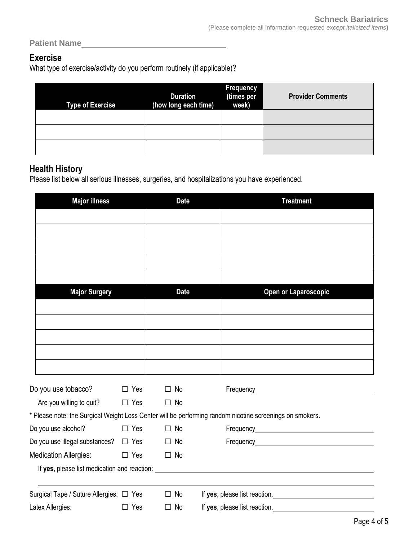Patient Name **Manual** 

## **Exercise**

What type of exercise/activity do you perform routinely (if applicable)?

| <b>Type of Exercise</b> | <b>Duration</b><br>(how long each time) | <b>Frequency</b><br>(times per<br>week) | <b>Provider Comments</b> |
|-------------------------|-----------------------------------------|-----------------------------------------|--------------------------|
|                         |                                         |                                         |                          |
|                         |                                         |                                         |                          |
|                         |                                         |                                         |                          |

#### **Health History**

Please list below all serious illnesses, surgeries, and hospitalizations you have experienced.

| <b>Major illness</b>                      |            | <b>Date</b> | <b>Treatment</b>                                                                                         |
|-------------------------------------------|------------|-------------|----------------------------------------------------------------------------------------------------------|
|                                           |            |             |                                                                                                          |
|                                           |            |             |                                                                                                          |
|                                           |            |             |                                                                                                          |
|                                           |            |             |                                                                                                          |
|                                           |            |             |                                                                                                          |
|                                           |            |             |                                                                                                          |
| <b>Major Surgery</b>                      |            | <b>Date</b> | Open or Laparoscopic                                                                                     |
|                                           |            |             |                                                                                                          |
|                                           |            |             |                                                                                                          |
|                                           |            |             |                                                                                                          |
|                                           |            |             |                                                                                                          |
|                                           |            |             |                                                                                                          |
|                                           |            |             |                                                                                                          |
| Do you use tobacco?                       | $\Box$ Yes | $\Box$ No   |                                                                                                          |
| Are you willing to quit? $\Box$ Yes       |            | $\Box$ No   |                                                                                                          |
|                                           |            |             | * Please note: the Surgical Weight Loss Center will be performing random nicotine screenings on smokers. |
| Do you use alcohol?                       | $\Box$ Yes | $\Box$ No   |                                                                                                          |
| Do you use illegal substances? $\Box$ Yes |            | $\Box$ No   |                                                                                                          |
| <b>Medication Allergies:</b>              | $\Box$ Yes | $\Box$ No   |                                                                                                          |
|                                           |            |             | If yes, please list medication and reaction: ___________________________________                         |
| Surgical Tape / Suture Allergies: □ Yes   |            | $\Box$ No   | If yes, please list reaction.                                                                            |
| Latex Allergies:                          | $\Box$ Yes | $\Box$ No   | If yes, please list reaction. <u>__________________________________</u>                                  |